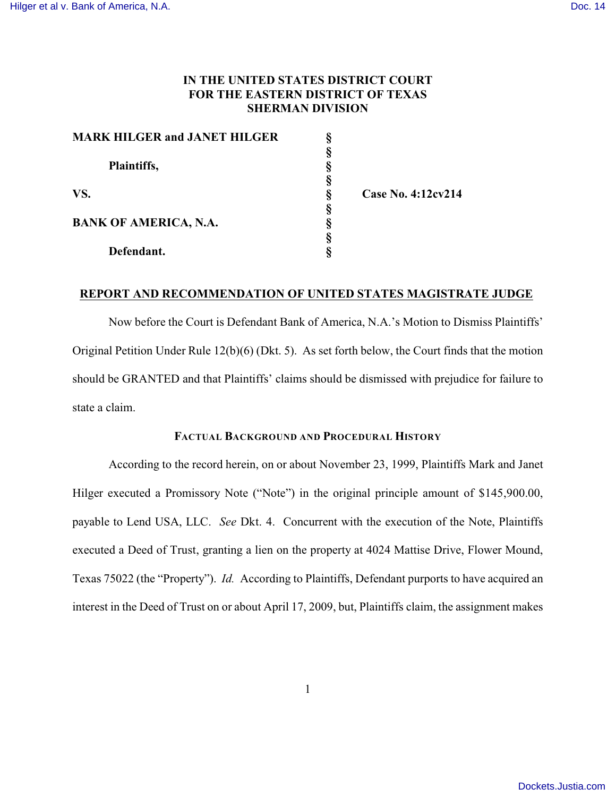# **IN THE UNITED STATES DISTRICT COURT FOR THE EASTERN DISTRICT OF TEXAS SHERMAN DIVISION**

| <b>MARK HILGER and JANET HILGER</b> |   |                    |
|-------------------------------------|---|--------------------|
|                                     |   |                    |
| Plaintiffs,                         |   |                    |
|                                     |   |                    |
| VS.                                 | 8 | Case No. 4:12cv214 |
|                                     |   |                    |
| <b>BANK OF AMERICA, N.A.</b>        |   |                    |
|                                     |   |                    |
| Defendant.                          |   |                    |

## **REPORT AND RECOMMENDATION OF UNITED STATES MAGISTRATE JUDGE**

Now before the Court is Defendant Bank of America, N.A.'s Motion to Dismiss Plaintiffs' Original Petition Under Rule 12(b)(6) (Dkt. 5). As set forth below, the Court finds that the motion should be GRANTED and that Plaintiffs' claims should be dismissed with prejudice for failure to state a claim.

## **FACTUAL BACKGROUND AND PROCEDURAL HISTORY**

According to the record herein, on or about November 23, 1999, Plaintiffs Mark and Janet Hilger executed a Promissory Note ("Note") in the original principle amount of \$145,900.00, payable to Lend USA, LLC. *See* Dkt. 4. Concurrent with the execution of the Note, Plaintiffs executed a Deed of Trust, granting a lien on the property at 4024 Mattise Drive, Flower Mound, Texas 75022 (the "Property"). *Id.* According to Plaintiffs, Defendant purports to have acquired an interest in the Deed of Trust on or about April 17, 2009, but, Plaintiffs claim, the assignment makes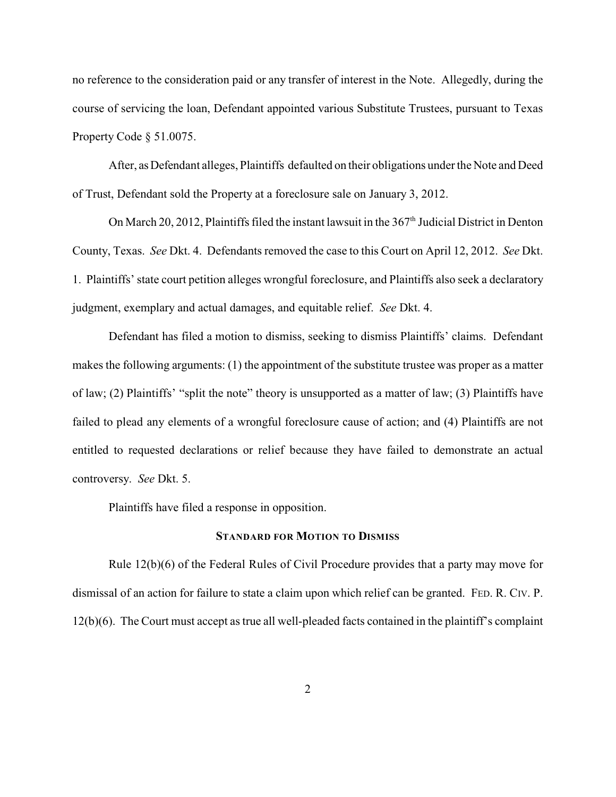no reference to the consideration paid or any transfer of interest in the Note. Allegedly, during the course of servicing the loan, Defendant appointed various Substitute Trustees, pursuant to Texas Property Code § 51.0075.

After, as Defendant alleges, Plaintiffs defaulted on their obligations under the Note and Deed of Trust, Defendant sold the Property at a foreclosure sale on January 3, 2012.

On March 20, 2012, Plaintiffs filed the instant lawsuit in the  $367<sup>th</sup>$  Judicial District in Denton County, Texas. *See* Dkt. 4. Defendants removed the case to this Court on April 12, 2012. *See* Dkt. 1. Plaintiffs' state court petition alleges wrongful foreclosure, and Plaintiffs also seek a declaratory judgment, exemplary and actual damages, and equitable relief. *See* Dkt. 4.

Defendant has filed a motion to dismiss, seeking to dismiss Plaintiffs' claims. Defendant makes the following arguments: (1) the appointment of the substitute trustee was proper as a matter of law; (2) Plaintiffs' "split the note" theory is unsupported as a matter of law; (3) Plaintiffs have failed to plead any elements of a wrongful foreclosure cause of action; and (4) Plaintiffs are not entitled to requested declarations or relief because they have failed to demonstrate an actual controversy. *See* Dkt. 5.

Plaintiffs have filed a response in opposition.

### **STANDARD FOR MOTION TO DISMISS**

Rule 12(b)(6) of the Federal Rules of Civil Procedure provides that a party may move for dismissal of an action for failure to state a claim upon which relief can be granted. FED. R. CIV. P. 12(b)(6). The Court must accept as true all well-pleaded facts contained in the plaintiff's complaint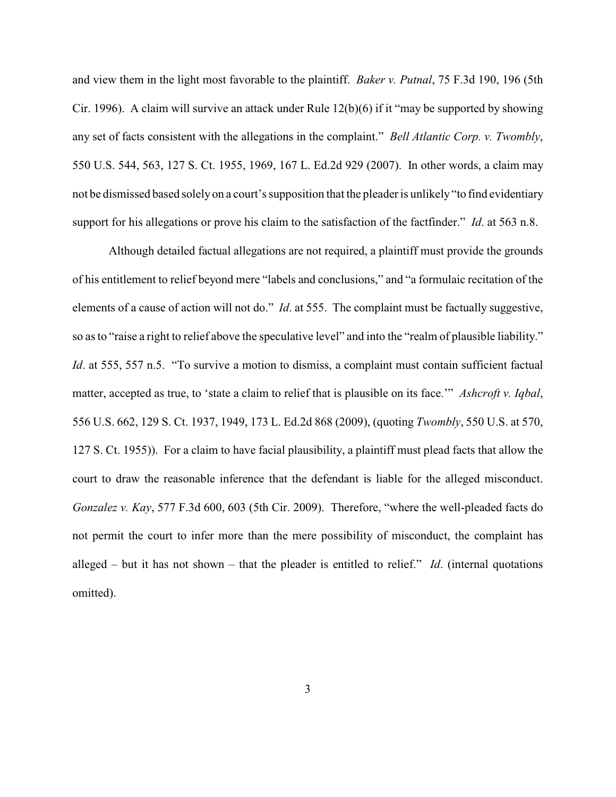and view them in the light most favorable to the plaintiff. *Baker v. Putnal*, 75 F.3d 190, 196 (5th Cir. 1996). A claim will survive an attack under Rule  $12(b)(6)$  if it "may be supported by showing any set of facts consistent with the allegations in the complaint." *Bell Atlantic Corp. v. Twombly*, 550 U.S. 544, 563, 127 S. Ct. 1955, 1969, 167 L. Ed.2d 929 (2007). In other words, a claim may not be dismissed based solely on a court's supposition that the pleader is unlikely "to find evidentiary support for his allegations or prove his claim to the satisfaction of the factfinder." *Id*. at 563 n.8.

Although detailed factual allegations are not required, a plaintiff must provide the grounds of his entitlement to relief beyond mere "labels and conclusions," and "a formulaic recitation of the elements of a cause of action will not do." *Id*. at 555. The complaint must be factually suggestive, so as to "raise a right to relief above the speculative level" and into the "realm of plausible liability." *Id.* at 555, 557 n.5. "To survive a motion to dismiss, a complaint must contain sufficient factual matter, accepted as true, to 'state a claim to relief that is plausible on its face.'" *Ashcroft v. Iqbal*, 556 U.S. 662, 129 S. Ct. 1937, 1949, 173 L. Ed.2d 868 (2009), (quoting *Twombly*, 550 U.S. at 570, 127 S. Ct. 1955)). For a claim to have facial plausibility, a plaintiff must plead facts that allow the court to draw the reasonable inference that the defendant is liable for the alleged misconduct. *Gonzalez v. Kay*, 577 F.3d 600, 603 (5th Cir. 2009). Therefore, "where the well-pleaded facts do not permit the court to infer more than the mere possibility of misconduct, the complaint has alleged – but it has not shown – that the pleader is entitled to relief." *Id*. (internal quotations omitted).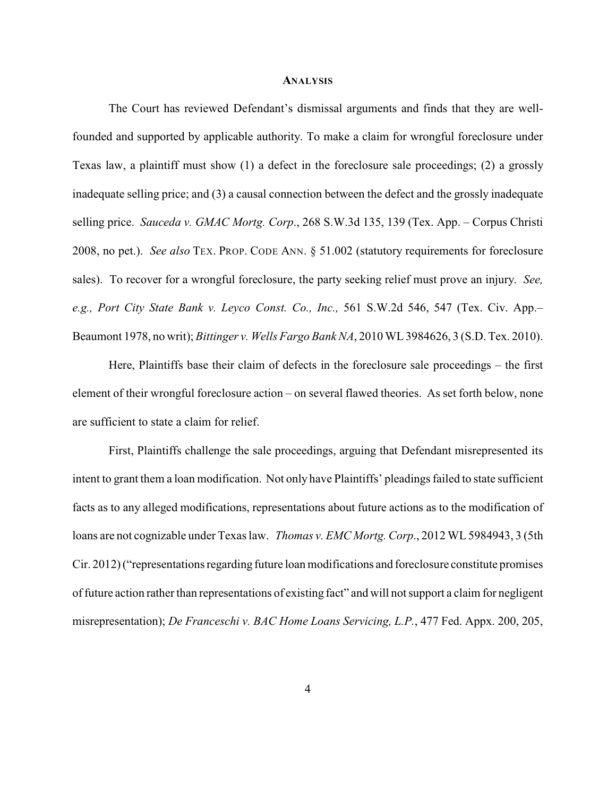#### **ANALYSIS**

The Court has reviewed Defendant's dismissal arguments and finds that they are wellfounded and supported by applicable authority. To make a claim for wrongful foreclosure under Texas law, a plaintiff must show (1) a defect in the foreclosure sale proceedings; (2) a grossly inadequate selling price; and (3) a causal connection between the defect and the grossly inadequate selling price. *Sauceda v. GMAC Mortg. Corp*., 268 S.W.3d 135, 139 (Tex. App. – Corpus Christi 2008, no pet.). *See also* TEX. PROP. CODE ANN. § 51.002 (statutory requirements for foreclosure sales). To recover for a wrongful foreclosure, the party seeking relief must prove an injury. *See, e.g., Port City State Bank v. Leyco Const. Co., Inc.,* 561 S.W.2d 546, 547 (Tex. Civ. App.– Beaumont 1978, no writ); *Bittinger v. Wells Fargo Bank NA*, 2010 WL 3984626, 3 (S.D. Tex. 2010).

Here, Plaintiffs base their claim of defects in the foreclosure sale proceedings – the first element of their wrongful foreclosure action – on several flawed theories. As set forth below, none are sufficient to state a claim for relief.

First, Plaintiffs challenge the sale proceedings, arguing that Defendant misrepresented its intent to grant them a loan modification. Not only have Plaintiffs' pleadings failed to state sufficient facts as to any alleged modifications, representations about future actions as to the modification of loans are not cognizable under Texas law. *Thomas v. EMC Mortg. Corp*., 2012 WL 5984943, 3 (5th Cir. 2012) ("representations regarding future loan modifications and foreclosure constitute promises of future action rather than representations of existing fact" and will not support a claim for negligent misrepresentation); *De Franceschi v. BAC Home Loans Servicing, L.P.*, 477 Fed. Appx. 200, 205,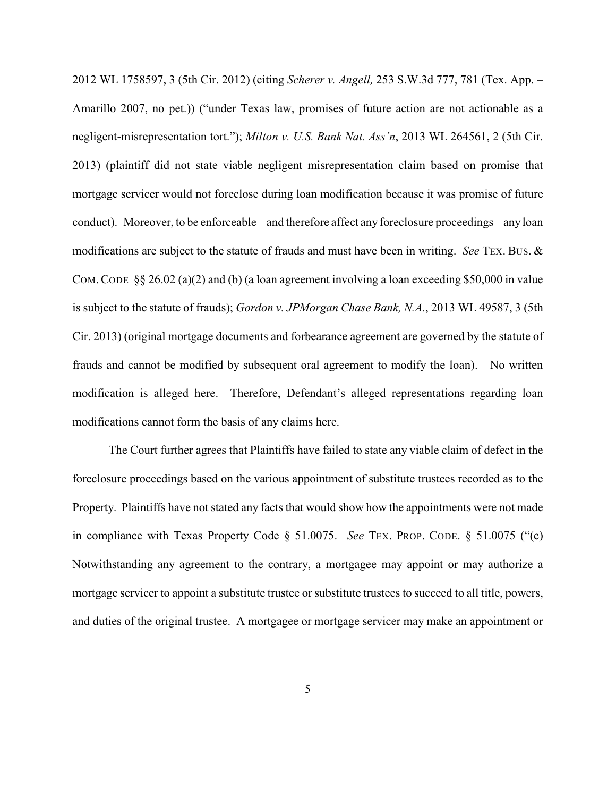2012 WL 1758597, 3 (5th Cir. 2012) (citing *Scherer v. Angell,* 253 S.W.3d 777, 781 (Tex. App. – Amarillo 2007, no pet.)) ("under Texas law, promises of future action are not actionable as a negligent-misrepresentation tort."); *Milton v. U.S. Bank Nat. Ass'n*, 2013 WL 264561, 2 (5th Cir. 2013) (plaintiff did not state viable negligent misrepresentation claim based on promise that mortgage servicer would not foreclose during loan modification because it was promise of future conduct). Moreover, to be enforceable – and therefore affect any foreclosure proceedings – any loan modifications are subject to the statute of frauds and must have been in writing. *See* TEX. BUS. & COM.CODE §§ 26.02 (a)(2) and (b) (a loan agreement involving a loan exceeding \$50,000 in value is subject to the statute of frauds); *Gordon v. JPMorgan Chase Bank, N.A.*, 2013 WL 49587, 3 (5th Cir. 2013) (original mortgage documents and forbearance agreement are governed by the statute of frauds and cannot be modified by subsequent oral agreement to modify the loan). No written modification is alleged here. Therefore, Defendant's alleged representations regarding loan modifications cannot form the basis of any claims here.

The Court further agrees that Plaintiffs have failed to state any viable claim of defect in the foreclosure proceedings based on the various appointment of substitute trustees recorded as to the Property. Plaintiffs have not stated any facts that would show how the appointments were not made in compliance with Texas Property Code § 51.0075. *See* TEX. PROP. CODE. § 51.0075 ("(c) Notwithstanding any agreement to the contrary, a mortgagee may appoint or may authorize a mortgage servicer to appoint a substitute trustee or substitute trustees to succeed to all title, powers, and duties of the original trustee. A mortgagee or mortgage servicer may make an appointment or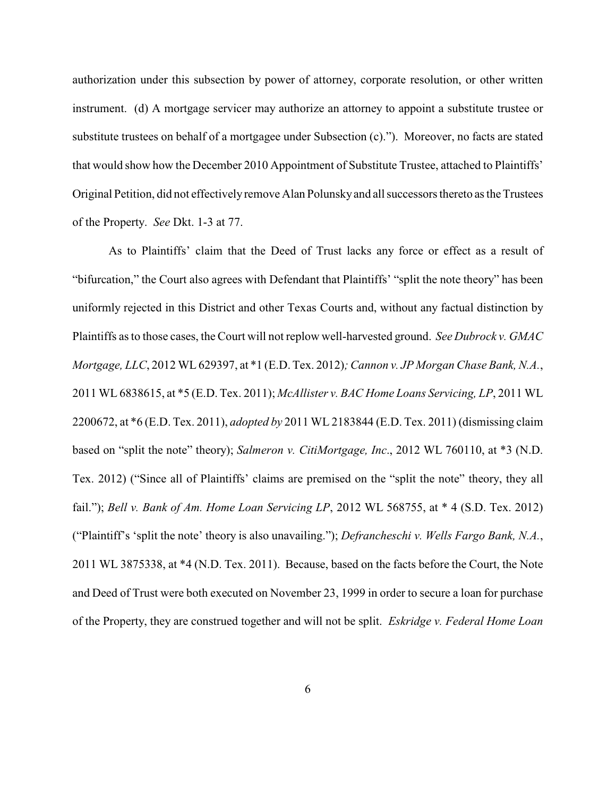authorization under this subsection by power of attorney, corporate resolution, or other written instrument. (d) A mortgage servicer may authorize an attorney to appoint a substitute trustee or substitute trustees on behalf of a mortgagee under Subsection (c)."). Moreover, no facts are stated that would show how the December 2010 Appointment of Substitute Trustee, attached to Plaintiffs' Original Petition, did not effectively remove Alan Polunsky and all successors thereto as the Trustees of the Property. *See* Dkt. 1-3 at 77.

As to Plaintiffs' claim that the Deed of Trust lacks any force or effect as a result of "bifurcation," the Court also agrees with Defendant that Plaintiffs' "split the note theory" has been uniformly rejected in this District and other Texas Courts and, without any factual distinction by Plaintiffs as to those cases, the Court will not replow well-harvested ground. *See Dubrock v. GMAC Mortgage, LLC*, 2012 WL 629397, at \*1 (E.D. Tex. 2012)*; Cannon v. JP Morgan Chase Bank, N.A.*, 2011 WL 6838615, at \*5 (E.D. Tex. 2011); *McAllister v. BAC Home Loans Servicing, LP*, 2011 WL 2200672, at \*6 (E.D. Tex. 2011), *adopted by* 2011 WL 2183844 (E.D. Tex. 2011) (dismissing claim based on "split the note" theory); *Salmeron v. CitiMortgage, Inc*., 2012 WL 760110, at \*3 (N.D. Tex. 2012) ("Since all of Plaintiffs' claims are premised on the "split the note" theory, they all fail."); *Bell v. Bank of Am. Home Loan Servicing LP*, 2012 WL 568755, at \* 4 (S.D. Tex. 2012) ("Plaintiff's 'split the note' theory is also unavailing."); *Defrancheschi v. Wells Fargo Bank, N.A.*, 2011 WL 3875338, at \*4 (N.D. Tex. 2011). Because, based on the facts before the Court, the Note and Deed of Trust were both executed on November 23, 1999 in order to secure a loan for purchase of the Property, they are construed together and will not be split. *Eskridge v. Federal Home Loan*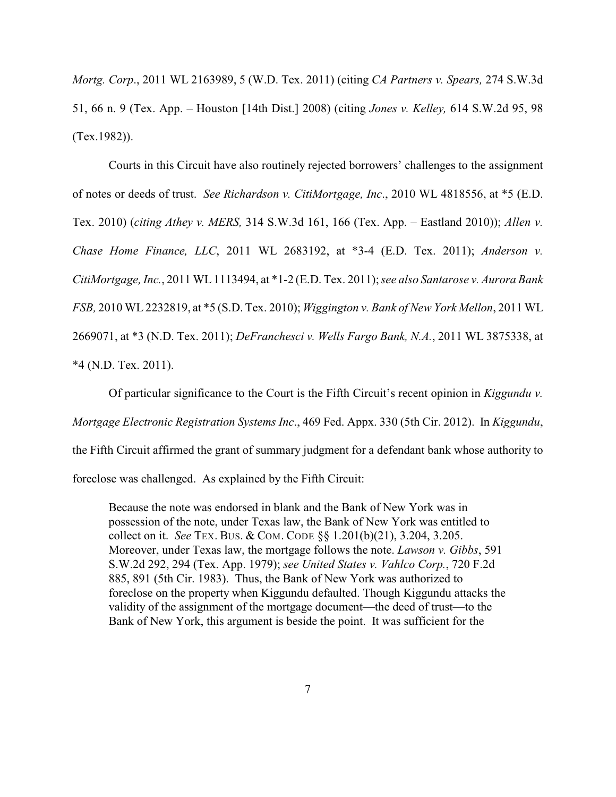*Mortg. Corp*., 2011 WL 2163989, 5 (W.D. Tex. 2011) (citing *CA Partners v. Spears,* 274 S.W.3d 51, 66 n. 9 (Tex. App. – Houston [14th Dist.] 2008) (citing *Jones v. Kelley,* 614 S.W.2d 95, 98 (Tex.1982)).

Courts in this Circuit have also routinely rejected borrowers' challenges to the assignment of notes or deeds of trust. *See Richardson v. CitiMortgage, Inc*., 2010 WL 4818556, at \*5 (E.D. Tex. 2010) (*citing Athey v. MERS,* 314 S.W.3d 161, 166 (Tex. App. – Eastland 2010)); *Allen v. Chase Home Finance, LLC*, 2011 WL 2683192, at \*3-4 (E.D. Tex. 2011); *Anderson v. CitiMortgage, Inc.*, 2011 WL 1113494, at \*1-2 (E.D. Tex. 2011); *see also Santarose v. Aurora Bank FSB,* 2010 WL 2232819, at \*5 (S.D. Tex. 2010); *Wiggington v. Bank of New York Mellon*, 2011 WL 2669071, at \*3 (N.D. Tex. 2011); *DeFranchesci v. Wells Fargo Bank, N.A.*, 2011 WL 3875338, at \*4 (N.D. Tex. 2011).

Of particular significance to the Court is the Fifth Circuit's recent opinion in *Kiggundu v. Mortgage Electronic Registration Systems Inc*., 469 Fed. Appx. 330 (5th Cir. 2012). In *Kiggundu*, the Fifth Circuit affirmed the grant of summary judgment for a defendant bank whose authority to foreclose was challenged. As explained by the Fifth Circuit:

Because the note was endorsed in blank and the Bank of New York was in possession of the note, under Texas law, the Bank of New York was entitled to collect on it. *See* TEX. BUS. & COM. CODE §§ 1.201(b)(21), 3.204, 3.205. Moreover, under Texas law, the mortgage follows the note. *Lawson v. Gibbs*, 591 S.W.2d 292, 294 (Tex. App. 1979); *see United States v. Vahlco Corp.*, 720 F.2d 885, 891 (5th Cir. 1983). Thus, the Bank of New York was authorized to foreclose on the property when Kiggundu defaulted. Though Kiggundu attacks the validity of the assignment of the mortgage document—the deed of trust—to the Bank of New York, this argument is beside the point. It was sufficient for the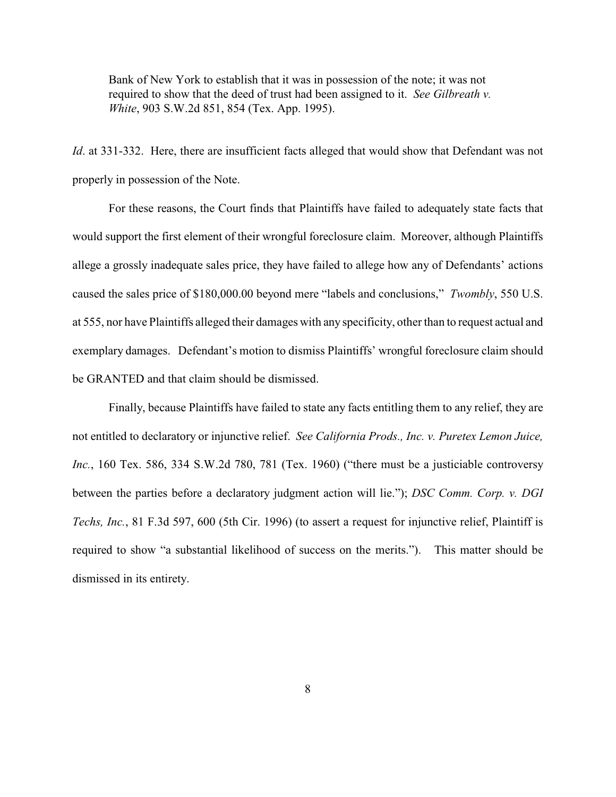Bank of New York to establish that it was in possession of the note; it was not required to show that the deed of trust had been assigned to it. *See Gilbreath v. White*, 903 S.W.2d 851, 854 (Tex. App. 1995).

*Id*. at 331-332. Here, there are insufficient facts alleged that would show that Defendant was not properly in possession of the Note.

For these reasons, the Court finds that Plaintiffs have failed to adequately state facts that would support the first element of their wrongful foreclosure claim. Moreover, although Plaintiffs allege a grossly inadequate sales price, they have failed to allege how any of Defendants' actions caused the sales price of \$180,000.00 beyond mere "labels and conclusions," *Twombly*, 550 U.S. at 555, nor have Plaintiffs alleged their damages with any specificity, other than to request actual and exemplary damages. Defendant's motion to dismiss Plaintiffs' wrongful foreclosure claim should be GRANTED and that claim should be dismissed.

Finally, because Plaintiffs have failed to state any facts entitling them to any relief, they are not entitled to declaratory or injunctive relief. *See California Prods., Inc. v. Puretex Lemon Juice, Inc.*, 160 Tex. 586, 334 S.W.2d 780, 781 (Tex. 1960) ("there must be a justiciable controversy between the parties before a declaratory judgment action will lie."); *DSC Comm. Corp. v. DGI Techs, Inc.*, 81 F.3d 597, 600 (5th Cir. 1996) (to assert a request for injunctive relief, Plaintiff is required to show "a substantial likelihood of success on the merits."). This matter should be dismissed in its entirety.